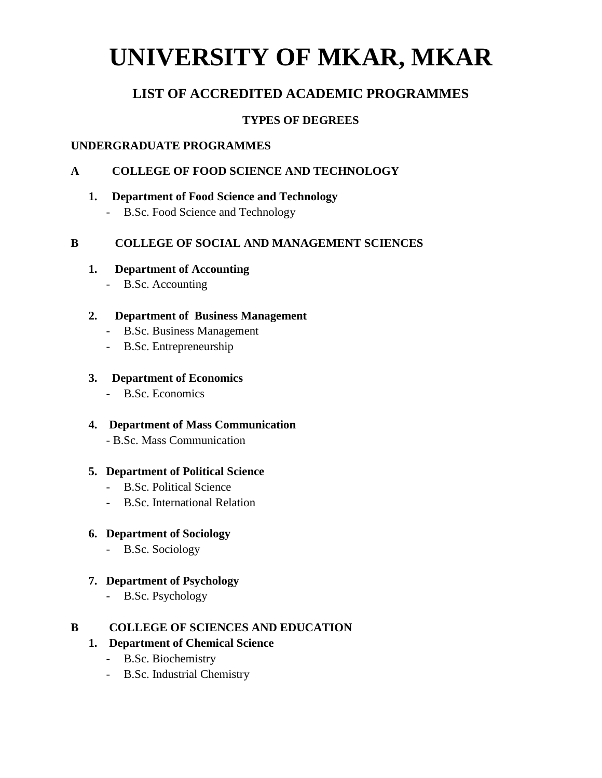# **UNIVERSITY OF MKAR, MKAR**

# **LIST OF ACCREDITED ACADEMIC PROGRAMMES**

# **TYPES OF DEGREES**

### **UNDERGRADUATE PROGRAMMES**

# **A COLLEGE OF FOOD SCIENCE AND TECHNOLOGY**

#### **1. Department of Food Science and Technology**

- B.Sc. Food Science and Technology

# **B COLLEGE OF SOCIAL AND MANAGEMENT SCIENCES**

#### **1. Department of Accounting**

- B.Sc. Accounting

#### **2. Department of Business Management**

- B.Sc. Business Management
- B.Sc. Entrepreneurship

#### **3. Department of Economics**

- B.Sc. Economics

#### **4. Department of Mass Communication**

- B.Sc. Mass Communication

#### **5. Department of Political Science**

- B.Sc. Political Science
- B.Sc. International Relation

# **6. Department of Sociology**

- B.Sc. Sociology

# **7. Department of Psychology**

- B.Sc. Psychology

# **B COLLEGE OF SCIENCES AND EDUCATION**

# **1. Department of Chemical Science**

- B.Sc. Biochemistry
- B.Sc. Industrial Chemistry